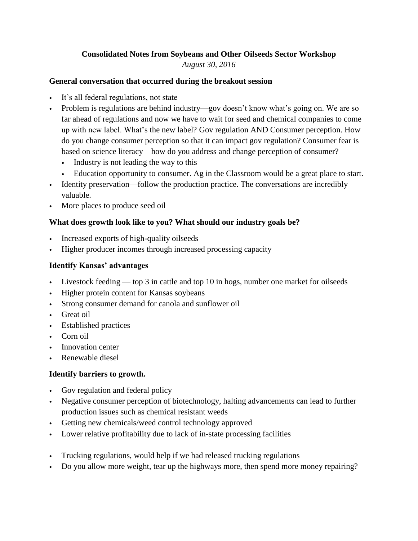### **Consolidated Notes from Soybeans and Other Oilseeds Sector Workshop** *August 30, 2016*

#### **General conversation that occurred during the breakout session**

- It's all federal regulations, not state
- Problem is regulations are behind industry—gov doesn't know what's going on. We are so far ahead of regulations and now we have to wait for seed and chemical companies to come up with new label. What's the new label? Gov regulation AND Consumer perception. How do you change consumer perception so that it can impact gov regulation? Consumer fear is based on science literacy—how do you address and change perception of consumer?
	- Industry is not leading the way to this
	- Education opportunity to consumer. Ag in the Classroom would be a great place to start.
- Identity preservation—follow the production practice. The conversations are incredibly valuable.
- More places to produce seed oil

## **What does growth look like to you? What should our industry goals be?**

- Increased exports of high-quality oilseeds
- Higher producer incomes through increased processing capacity

### **Identify Kansas' advantages**

- Livestock feeding top 3 in cattle and top 10 in hogs, number one market for oilseeds
- Higher protein content for Kansas soybeans
- Strong consumer demand for canola and sunflower oil
- Great oil
- Established practices
- Corn oil
- Innovation center
- Renewable diesel

## **Identify barriers to growth.**

- Gov regulation and federal policy
- Negative consumer perception of biotechnology, halting advancements can lead to further production issues such as chemical resistant weeds
- Getting new chemicals/weed control technology approved
- Lower relative profitability due to lack of in-state processing facilities
- Trucking regulations, would help if we had released trucking regulations
- Do you allow more weight, tear up the highways more, then spend more money repairing?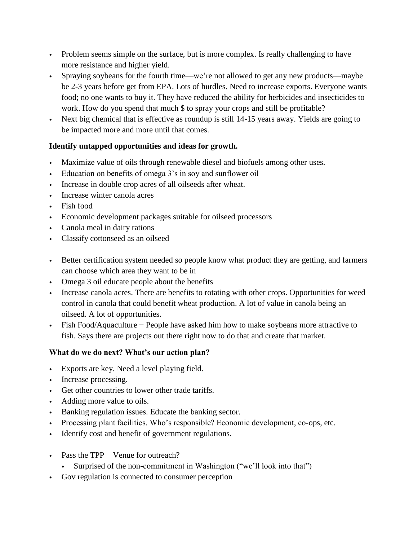- Problem seems simple on the surface, but is more complex. Is really challenging to have more resistance and higher yield.
- Spraying soybeans for the fourth time—we're not allowed to get any new products—maybe be 2-3 years before get from EPA. Lots of hurdles. Need to increase exports. Everyone wants food; no one wants to buy it. They have reduced the ability for herbicides and insecticides to work. How do you spend that much \$ to spray your crops and still be profitable?
- Next big chemical that is effective as roundup is still 14-15 years away. Yields are going to be impacted more and more until that comes.

# **Identify untapped opportunities and ideas for growth.**

- Maximize value of oils through renewable diesel and biofuels among other uses.
- Education on benefits of omega 3's in soy and sunflower oil
- Increase in double crop acres of all oilseeds after wheat.
- Increase winter canola acres
- Fish food
- Economic development packages suitable for oilseed processors
- Canola meal in dairy rations
- Classify cottonseed as an oilseed
- Better certification system needed so people know what product they are getting, and farmers can choose which area they want to be in
- Omega 3 oil educate people about the benefits
- Increase canola acres. There are benefits to rotating with other crops. Opportunities for weed control in canola that could benefit wheat production. A lot of value in canola being an oilseed. A lot of opportunities.
- Fish Food/Aquaculture − People have asked him how to make soybeans more attractive to fish. Says there are projects out there right now to do that and create that market.

## **What do we do next? What's our action plan?**

- Exports are key. Need a level playing field.
- Increase processing.
- Get other countries to lower other trade tariffs.
- Adding more value to oils.
- Banking regulation issues. Educate the banking sector.
- Processing plant facilities. Who's responsible? Economic development, co-ops, etc.
- Identify cost and benefit of government regulations.
- Pass the TPP Venue for outreach?
	- Surprised of the non-commitment in Washington ("we'll look into that")
- Gov regulation is connected to consumer perception